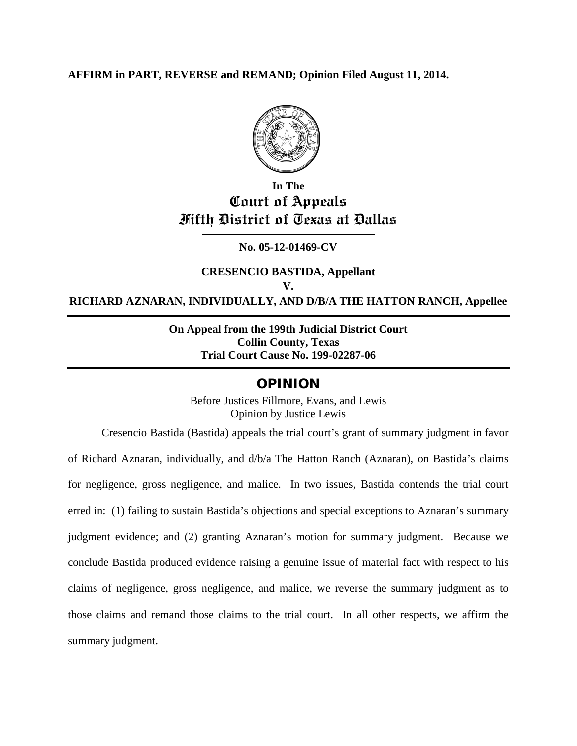## **AFFIRM in PART, REVERSE and REMAND; Opinion Filed August 11, 2014.**



## **In The Court of Appeals Fifth District of Texas at Dallas**

## **No. 05-12-01469-CV**

## **CRESENCIO BASTIDA, Appellant V. RICHARD AZNARAN, INDIVIDUALLY, AND D/B/A THE HATTON RANCH, Appellee**

## **On Appeal from the 199th Judicial District Court Collin County, Texas Trial Court Cause No. 199-02287-06**

## OPINION

Before Justices Fillmore, Evans, and Lewis Opinion by Justice Lewis

Cresencio Bastida (Bastida) appeals the trial court's grant of summary judgment in favor of Richard Aznaran, individually, and d/b/a The Hatton Ranch (Aznaran), on Bastida's claims for negligence, gross negligence, and malice. In two issues, Bastida contends the trial court erred in: (1) failing to sustain Bastida's objections and special exceptions to Aznaran's summary judgment evidence; and (2) granting Aznaran's motion for summary judgment. Because we conclude Bastida produced evidence raising a genuine issue of material fact with respect to his claims of negligence, gross negligence, and malice, we reverse the summary judgment as to those claims and remand those claims to the trial court. In all other respects, we affirm the summary judgment.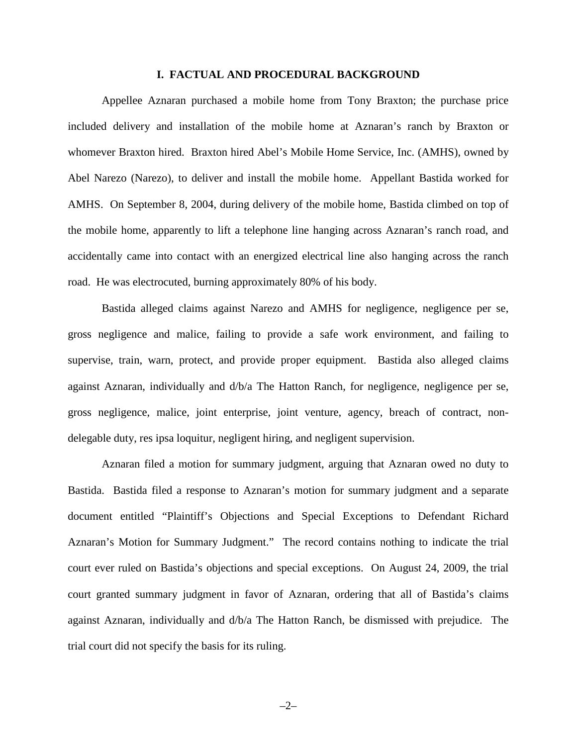#### **I. FACTUAL AND PROCEDURAL BACKGROUND**

Appellee Aznaran purchased a mobile home from Tony Braxton; the purchase price included delivery and installation of the mobile home at Aznaran's ranch by Braxton or whomever Braxton hired. Braxton hired Abel's Mobile Home Service, Inc. (AMHS), owned by Abel Narezo (Narezo), to deliver and install the mobile home. Appellant Bastida worked for AMHS. On September 8, 2004, during delivery of the mobile home, Bastida climbed on top of the mobile home, apparently to lift a telephone line hanging across Aznaran's ranch road, and accidentally came into contact with an energized electrical line also hanging across the ranch road. He was electrocuted, burning approximately 80% of his body.

Bastida alleged claims against Narezo and AMHS for negligence, negligence per se, gross negligence and malice, failing to provide a safe work environment, and failing to supervise, train, warn, protect, and provide proper equipment. Bastida also alleged claims against Aznaran, individually and d/b/a The Hatton Ranch, for negligence, negligence per se, gross negligence, malice, joint enterprise, joint venture, agency, breach of contract, nondelegable duty, res ipsa loquitur, negligent hiring, and negligent supervision.

Aznaran filed a motion for summary judgment, arguing that Aznaran owed no duty to Bastida. Bastida filed a response to Aznaran's motion for summary judgment and a separate document entitled "Plaintiff's Objections and Special Exceptions to Defendant Richard Aznaran's Motion for Summary Judgment." The record contains nothing to indicate the trial court ever ruled on Bastida's objections and special exceptions. On August 24, 2009, the trial court granted summary judgment in favor of Aznaran, ordering that all of Bastida's claims against Aznaran, individually and d/b/a The Hatton Ranch, be dismissed with prejudice. The trial court did not specify the basis for its ruling.

–2–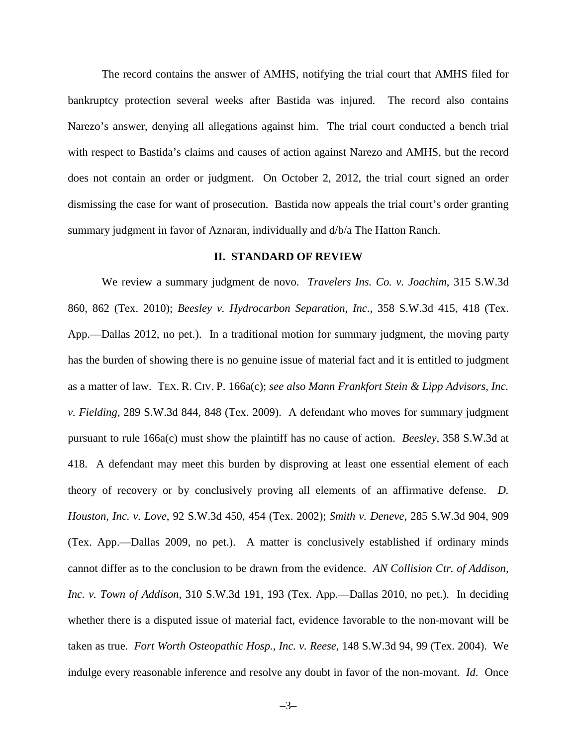The record contains the answer of AMHS, notifying the trial court that AMHS filed for bankruptcy protection several weeks after Bastida was injured. The record also contains Narezo's answer, denying all allegations against him. The trial court conducted a bench trial with respect to Bastida's claims and causes of action against Narezo and AMHS, but the record does not contain an order or judgment. On October 2, 2012, the trial court signed an order dismissing the case for want of prosecution. Bastida now appeals the trial court's order granting summary judgment in favor of Aznaran, individually and d/b/a The Hatton Ranch.

#### **II. STANDARD OF REVIEW**

We review a summary judgment de novo. *Travelers Ins. Co. v. Joachim*, 315 S.W.3d 860, 862 (Tex. 2010); *Beesley v. Hydrocarbon Separation, Inc*., 358 S.W.3d 415, 418 (Tex. App.––Dallas 2012, no pet.). In a traditional motion for summary judgment, the moving party has the burden of showing there is no genuine issue of material fact and it is entitled to judgment as a matter of law. TEX. R. CIV. P. 166a(c); *see also Mann Frankfort Stein & Lipp Advisors, Inc. v. Fielding*, 289 S.W.3d 844, 848 (Tex. 2009). A defendant who moves for summary judgment pursuant to rule 166a(c) must show the plaintiff has no cause of action. *Beesley*, 358 S.W.3d at 418. A defendant may meet this burden by disproving at least one essential element of each theory of recovery or by conclusively proving all elements of an affirmative defense. *D. Houston, Inc. v. Love*, 92 S.W.3d 450, 454 (Tex. 2002); *Smith v. Deneve*, 285 S.W.3d 904, 909 (Tex. App.––Dallas 2009, no pet.). A matter is conclusively established if ordinary minds cannot differ as to the conclusion to be drawn from the evidence. *AN Collision Ctr. of Addison, Inc. v. Town of Addison*, 310 S.W.3d 191, 193 (Tex. App.—Dallas 2010, no pet.). In deciding whether there is a disputed issue of material fact, evidence favorable to the non-movant will be taken as true. *Fort Worth Osteopathic Hosp., Inc. v. Reese*, 148 S.W.3d 94, 99 (Tex. 2004). We indulge every reasonable inference and resolve any doubt in favor of the non-movant. *Id*. Once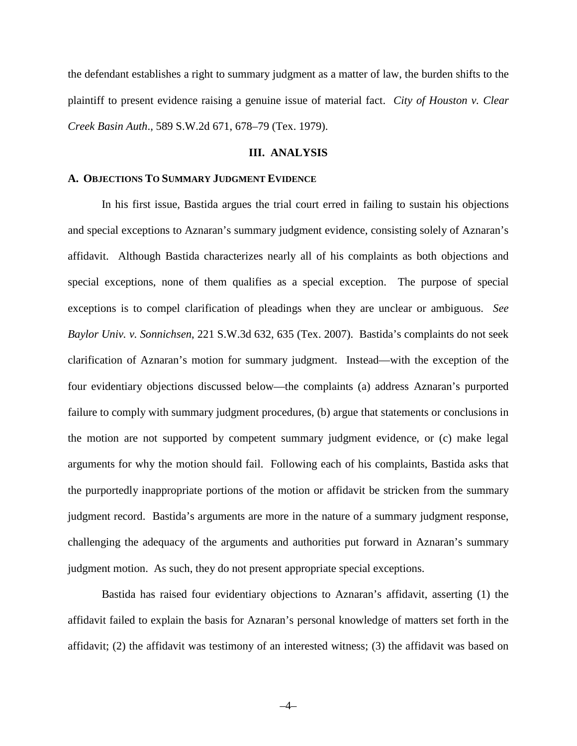the defendant establishes a right to summary judgment as a matter of law, the burden shifts to the plaintiff to present evidence raising a genuine issue of material fact. *City of Houston v. Clear Creek Basin Auth*., 589 S.W.2d 671, 678–79 (Tex. 1979).

#### **III. ANALYSIS**

#### **A. OBJECTIONS TO SUMMARY JUDGMENT EVIDENCE**

In his first issue, Bastida argues the trial court erred in failing to sustain his objections and special exceptions to Aznaran's summary judgment evidence, consisting solely of Aznaran's affidavit. Although Bastida characterizes nearly all of his complaints as both objections and special exceptions, none of them qualifies as a special exception. The purpose of special exceptions is to compel clarification of pleadings when they are unclear or ambiguous. *See Baylor Univ. v. Sonnichsen*, 221 S.W.3d 632, 635 (Tex. 2007). Bastida's complaints do not seek clarification of Aznaran's motion for summary judgment. Instead—with the exception of the four evidentiary objections discussed below—the complaints (a) address Aznaran's purported failure to comply with summary judgment procedures, (b) argue that statements or conclusions in the motion are not supported by competent summary judgment evidence, or (c) make legal arguments for why the motion should fail. Following each of his complaints, Bastida asks that the purportedly inappropriate portions of the motion or affidavit be stricken from the summary judgment record. Bastida's arguments are more in the nature of a summary judgment response, challenging the adequacy of the arguments and authorities put forward in Aznaran's summary judgment motion. As such, they do not present appropriate special exceptions.

Bastida has raised four evidentiary objections to Aznaran's affidavit, asserting (1) the affidavit failed to explain the basis for Aznaran's personal knowledge of matters set forth in the affidavit; (2) the affidavit was testimony of an interested witness; (3) the affidavit was based on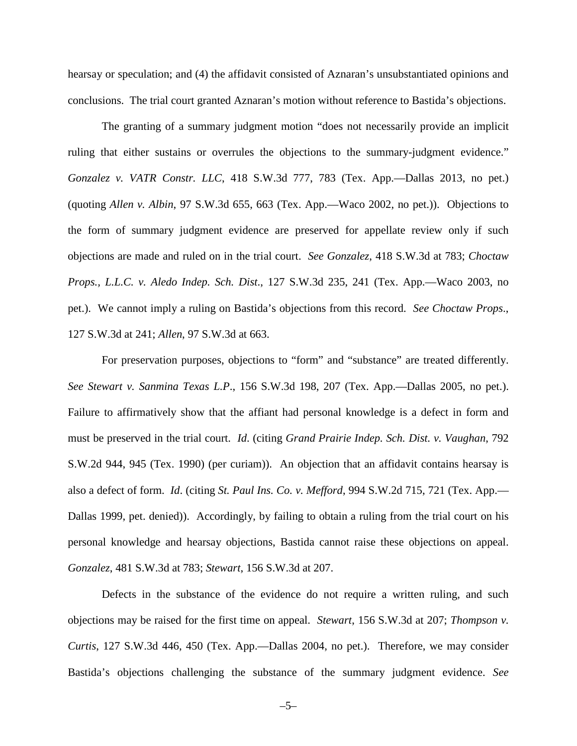hearsay or speculation; and (4) the affidavit consisted of Aznaran's unsubstantiated opinions and conclusions. The trial court granted Aznaran's motion without reference to Bastida's objections.

The granting of a summary judgment motion "does not necessarily provide an implicit ruling that either sustains or overrules the objections to the summary-judgment evidence." *Gonzalez v. VATR Constr. LLC*, 418 S.W.3d 777, 783 (Tex. App.—Dallas 2013, no pet.) (quoting *Allen v. Albin*, 97 S.W.3d 655, 663 (Tex. App.—Waco 2002, no pet.)). Objections to the form of summary judgment evidence are preserved for appellate review only if such objections are made and ruled on in the trial court. *See Gonzalez*, 418 S.W.3d at 783; *Choctaw Props., L.L.C. v. Aledo Indep. Sch. Dist*., 127 S.W.3d 235, 241 (Tex. App.—Waco 2003, no pet.). We cannot imply a ruling on Bastida's objections from this record. *See Choctaw Props*., 127 S.W.3d at 241; *Allen*, 97 S.W.3d at 663.

For preservation purposes, objections to "form" and "substance" are treated differently. *See Stewart v. Sanmina Texas L.P*., 156 S.W.3d 198, 207 (Tex. App.—Dallas 2005, no pet.). Failure to affirmatively show that the affiant had personal knowledge is a defect in form and must be preserved in the trial court. *Id*. (citing *Grand Prairie Indep. Sch. Dist. v. Vaughan*, 792 S.W.2d 944, 945 (Tex. 1990) (per curiam)). An objection that an affidavit contains hearsay is also a defect of form. *Id*. (citing *St. Paul Ins. Co. v. Mefford*, 994 S.W.2d 715, 721 (Tex. App.— Dallas 1999, pet. denied)). Accordingly, by failing to obtain a ruling from the trial court on his personal knowledge and hearsay objections, Bastida cannot raise these objections on appeal. *Gonzalez*, 481 S.W.3d at 783; *Stewart*, 156 S.W.3d at 207.

Defects in the substance of the evidence do not require a written ruling, and such objections may be raised for the first time on appeal. *Stewart*, 156 S.W.3d at 207; *Thompson v. Curtis*, 127 S.W.3d 446, 450 (Tex. App.—Dallas 2004, no pet.). Therefore, we may consider Bastida's objections challenging the substance of the summary judgment evidence. *See*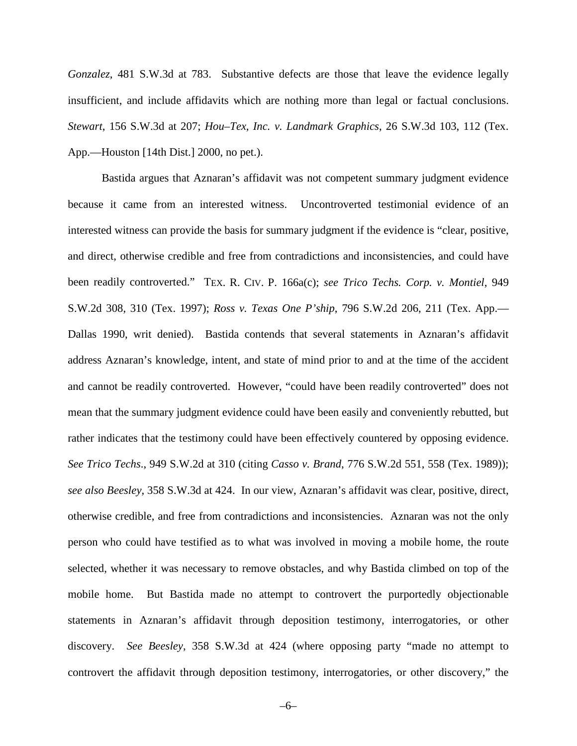*Gonzalez*, 481 S.W.3d at 783. Substantive defects are those that leave the evidence legally insufficient, and include affidavits which are nothing more than legal or factual conclusions. *Stewart*, 156 S.W.3d at 207; *Hou–Tex, Inc. v. Landmark Graphics*, 26 S.W.3d 103, 112 (Tex. App.—Houston [14th Dist.] 2000, no pet.).

Bastida argues that Aznaran's affidavit was not competent summary judgment evidence because it came from an interested witness. Uncontroverted testimonial evidence of an interested witness can provide the basis for summary judgment if the evidence is "clear, positive, and direct, otherwise credible and free from contradictions and inconsistencies, and could have been readily controverted." TEX. R. CIV. P. 166a(c); *see Trico Techs. Corp. v. Montiel*, 949 S.W.2d 308, 310 (Tex. 1997); *Ross v. Texas One P'ship*, 796 S.W.2d 206, 211 (Tex. App.— Dallas 1990, writ denied). Bastida contends that several statements in Aznaran's affidavit address Aznaran's knowledge, intent, and state of mind prior to and at the time of the accident and cannot be readily controverted. However, "could have been readily controverted" does not mean that the summary judgment evidence could have been easily and conveniently rebutted, but rather indicates that the testimony could have been effectively countered by opposing evidence. *See Trico Techs*., 949 S.W.2d at 310 (citing *Casso v. Brand*, 776 S.W.2d 551, 558 (Tex. 1989)); *see also Beesley*, 358 S.W.3d at 424. In our view, Aznaran's affidavit was clear, positive, direct, otherwise credible, and free from contradictions and inconsistencies. Aznaran was not the only person who could have testified as to what was involved in moving a mobile home, the route selected, whether it was necessary to remove obstacles, and why Bastida climbed on top of the mobile home. But Bastida made no attempt to controvert the purportedly objectionable statements in Aznaran's affidavit through deposition testimony, interrogatories, or other discovery. *See Beesley*, 358 S.W.3d at 424 (where opposing party "made no attempt to controvert the affidavit through deposition testimony, interrogatories, or other discovery," the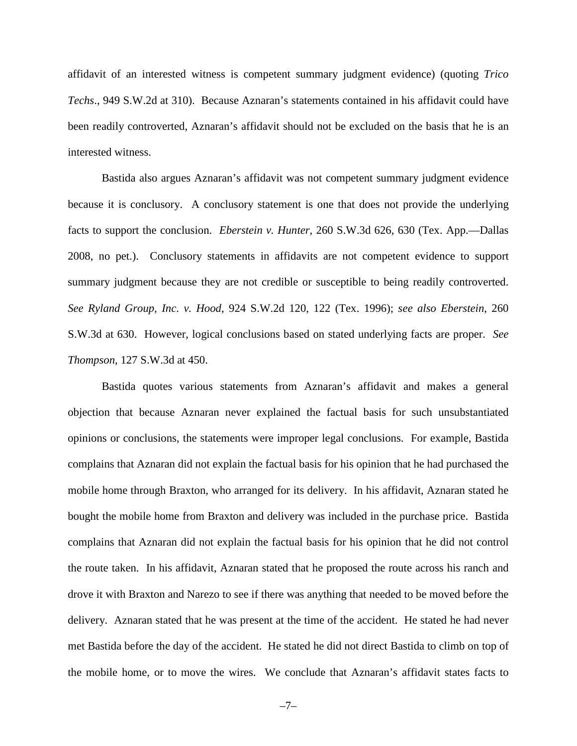affidavit of an interested witness is competent summary judgment evidence) (quoting *Trico Techs*., 949 S.W.2d at 310). Because Aznaran's statements contained in his affidavit could have been readily controverted, Aznaran's affidavit should not be excluded on the basis that he is an interested witness.

Bastida also argues Aznaran's affidavit was not competent summary judgment evidence because it is conclusory. A conclusory statement is one that does not provide the underlying facts to support the conclusion. *Eberstein v. Hunter*, 260 S.W.3d 626, 630 (Tex. App.—Dallas 2008, no pet.). Conclusory statements in affidavits are not competent evidence to support summary judgment because they are not credible or susceptible to being readily controverted. *See Ryland Group, Inc*. *v. Hood*, 924 S.W.2d 120, 122 (Tex. 1996); *see also Eberstein*, 260 S.W.3d at 630. However, logical conclusions based on stated underlying facts are proper. *See Thompson*, 127 S.W.3d at 450.

Bastida quotes various statements from Aznaran's affidavit and makes a general objection that because Aznaran never explained the factual basis for such unsubstantiated opinions or conclusions, the statements were improper legal conclusions. For example, Bastida complains that Aznaran did not explain the factual basis for his opinion that he had purchased the mobile home through Braxton, who arranged for its delivery. In his affidavit, Aznaran stated he bought the mobile home from Braxton and delivery was included in the purchase price. Bastida complains that Aznaran did not explain the factual basis for his opinion that he did not control the route taken. In his affidavit, Aznaran stated that he proposed the route across his ranch and drove it with Braxton and Narezo to see if there was anything that needed to be moved before the delivery. Aznaran stated that he was present at the time of the accident. He stated he had never met Bastida before the day of the accident. He stated he did not direct Bastida to climb on top of the mobile home, or to move the wires. We conclude that Aznaran's affidavit states facts to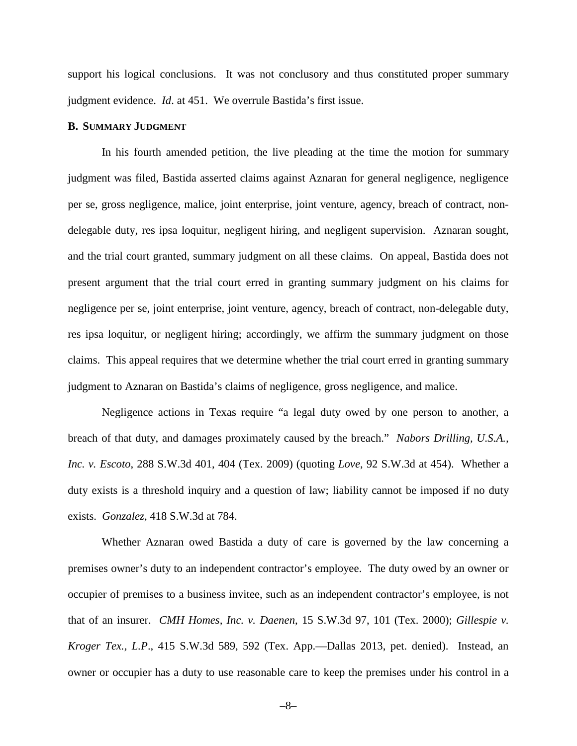support his logical conclusions. It was not conclusory and thus constituted proper summary judgment evidence. *Id*. at 451. We overrule Bastida's first issue.

#### **B. SUMMARY JUDGMENT**

In his fourth amended petition, the live pleading at the time the motion for summary judgment was filed, Bastida asserted claims against Aznaran for general negligence, negligence per se, gross negligence, malice, joint enterprise, joint venture, agency, breach of contract, nondelegable duty, res ipsa loquitur, negligent hiring, and negligent supervision. Aznaran sought, and the trial court granted, summary judgment on all these claims. On appeal, Bastida does not present argument that the trial court erred in granting summary judgment on his claims for negligence per se, joint enterprise, joint venture, agency, breach of contract, non-delegable duty, res ipsa loquitur, or negligent hiring; accordingly, we affirm the summary judgment on those claims. This appeal requires that we determine whether the trial court erred in granting summary judgment to Aznaran on Bastida's claims of negligence, gross negligence, and malice.

Negligence actions in Texas require "a legal duty owed by one person to another, a breach of that duty, and damages proximately caused by the breach." *Nabors Drilling, U.S.A., Inc. v. Escoto*, 288 S.W.3d 401, 404 (Tex. 2009) (quoting *Love*, 92 S.W.3d at 454). Whether a duty exists is a threshold inquiry and a question of law; liability cannot be imposed if no duty exists. *Gonzalez*, 418 S.W.3d at 784.

Whether Aznaran owed Bastida a duty of care is governed by the law concerning a premises owner's duty to an independent contractor's employee. The duty owed by an owner or occupier of premises to a business invitee, such as an independent contractor's employee, is not that of an insurer. *CMH Homes, Inc. v. Daenen*, 15 S.W.3d 97, 101 (Tex. 2000); *Gillespie v. Kroger Tex., L.P*., 415 S.W.3d 589, 592 (Tex. App.—Dallas 2013, pet. denied). Instead, an owner or occupier has a duty to use reasonable care to keep the premises under his control in a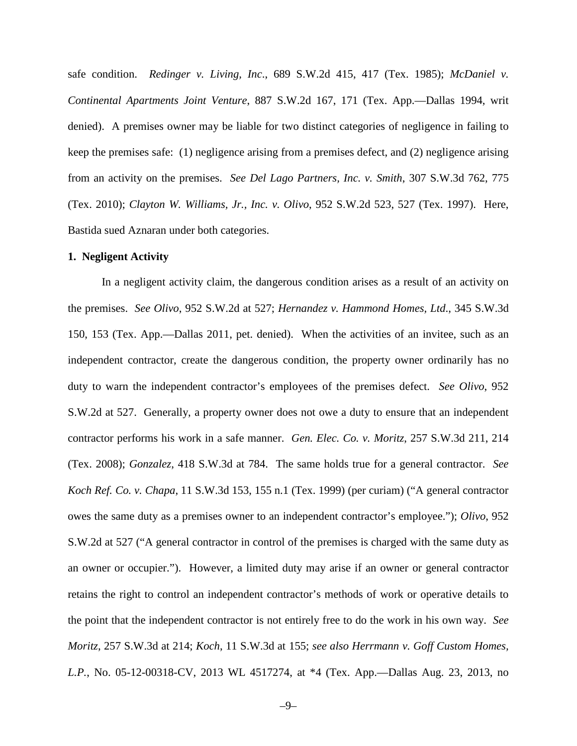safe condition. *Redinger v. Living, Inc*., 689 S.W.2d 415, 417 (Tex. 1985); *McDaniel v. Continental Apartments Joint Venture*, 887 S.W.2d 167, 171 (Tex. App.—Dallas 1994, writ denied). A premises owner may be liable for two distinct categories of negligence in failing to keep the premises safe: (1) negligence arising from a premises defect, and (2) negligence arising from an activity on the premises. *See Del Lago Partners, Inc. v. Smith*, 307 S.W.3d 762, 775 (Tex. 2010); *Clayton W. Williams, Jr., Inc. v. Olivo*, 952 S.W.2d 523, 527 (Tex. 1997). Here, Bastida sued Aznaran under both categories.

#### **1. Negligent Activity**

In a negligent activity claim, the dangerous condition arises as a result of an activity on the premises. *See Olivo*, 952 S.W.2d at 527; *Hernandez v. Hammond Homes, Ltd*., 345 S.W.3d 150, 153 (Tex. App.—Dallas 2011, pet. denied). When the activities of an invitee, such as an independent contractor, create the dangerous condition, the property owner ordinarily has no duty to warn the independent contractor's employees of the premises defect. *See Olivo*, 952 S.W.2d at 527. Generally, a property owner does not owe a duty to ensure that an independent contractor performs his work in a safe manner. *Gen. Elec. Co. v. Moritz*, 257 S.W.3d 211, 214 (Tex. 2008); *Gonzalez*, 418 S.W.3d at 784. The same holds true for a general contractor. *See Koch Ref. Co. v. Chapa*, 11 S.W.3d 153, 155 n.1 (Tex. 1999) (per curiam) ("A general contractor owes the same duty as a premises owner to an independent contractor's employee."); *Olivo*, 952 S.W.2d at 527 ("A general contractor in control of the premises is charged with the same duty as an owner or occupier."). However, a limited duty may arise if an owner or general contractor retains the right to control an independent contractor's methods of work or operative details to the point that the independent contractor is not entirely free to do the work in his own way. *See Moritz*, 257 S.W.3d at 214; *Koch*, 11 S.W.3d at 155; *see also Herrmann v. Goff Custom Homes, L.P.*, No. 05-12-00318-CV, 2013 WL 4517274, at \*4 (Tex. App.—Dallas Aug. 23, 2013, no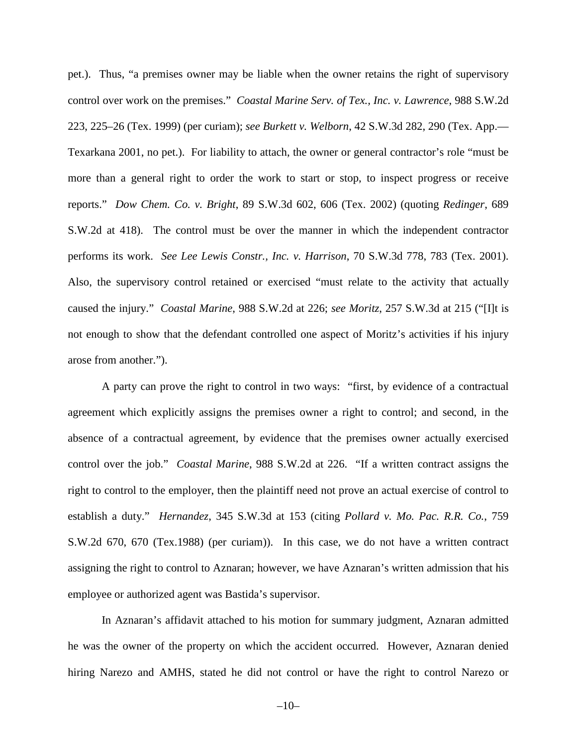pet.). Thus, "a premises owner may be liable when the owner retains the right of supervisory control over work on the premises." *Coastal Marine Serv. of Tex., Inc. v. Lawrence*, 988 S.W.2d 223, 225–26 (Tex. 1999) (per curiam); *see Burkett v. Welborn*, 42 S.W.3d 282, 290 (Tex. App.— Texarkana 2001, no pet.). For liability to attach, the owner or general contractor's role "must be more than a general right to order the work to start or stop, to inspect progress or receive reports." *Dow Chem. Co. v. Bright*, 89 S.W.3d 602, 606 (Tex. 2002) (quoting *Redinger*, 689 S.W.2d at 418). The control must be over the manner in which the independent contractor performs its work. *See Lee Lewis Constr., Inc. v. Harrison*, 70 S.W.3d 778, 783 (Tex. 2001). Also, the supervisory control retained or exercised "must relate to the activity that actually caused the injury." *Coastal Marine*, 988 S.W.2d at 226; *see Moritz*, 257 S.W.3d at 215 ("[I]t is not enough to show that the defendant controlled one aspect of Moritz's activities if his injury arose from another.").

A party can prove the right to control in two ways: "first, by evidence of a contractual agreement which explicitly assigns the premises owner a right to control; and second, in the absence of a contractual agreement, by evidence that the premises owner actually exercised control over the job." *Coastal Marine*, 988 S.W.2d at 226. "If a written contract assigns the right to control to the employer, then the plaintiff need not prove an actual exercise of control to establish a duty." *Hernandez*, 345 S.W.3d at 153 (citing *Pollard v. Mo. Pac. R.R. Co.*, 759 S.W.2d 670, 670 (Tex.1988) (per curiam)). In this case, we do not have a written contract assigning the right to control to Aznaran; however, we have Aznaran's written admission that his employee or authorized agent was Bastida's supervisor.

In Aznaran's affidavit attached to his motion for summary judgment, Aznaran admitted he was the owner of the property on which the accident occurred. However, Aznaran denied hiring Narezo and AMHS, stated he did not control or have the right to control Narezo or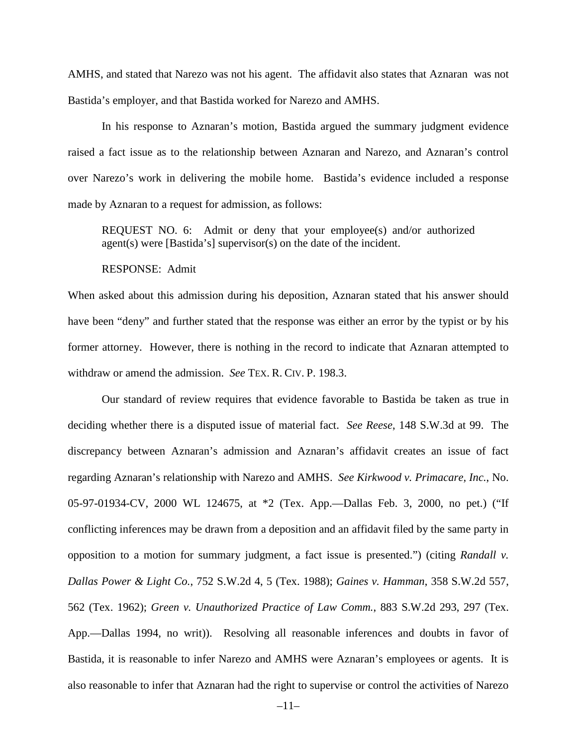AMHS, and stated that Narezo was not his agent. The affidavit also states that Aznaran was not Bastida's employer, and that Bastida worked for Narezo and AMHS.

In his response to Aznaran's motion, Bastida argued the summary judgment evidence raised a fact issue as to the relationship between Aznaran and Narezo, and Aznaran's control over Narezo's work in delivering the mobile home. Bastida's evidence included a response made by Aznaran to a request for admission, as follows:

REQUEST NO. 6: Admit or deny that your employee(s) and/or authorized agent(s) were [Bastida's] supervisor(s) on the date of the incident.

#### RESPONSE: Admit

When asked about this admission during his deposition, Aznaran stated that his answer should have been "deny" and further stated that the response was either an error by the typist or by his former attorney. However, there is nothing in the record to indicate that Aznaran attempted to withdraw or amend the admission. *See* TEX. R. CIV. P. 198.3.

Our standard of review requires that evidence favorable to Bastida be taken as true in deciding whether there is a disputed issue of material fact. *See Reese*, 148 S.W.3d at 99. The discrepancy between Aznaran's admission and Aznaran's affidavit creates an issue of fact regarding Aznaran's relationship with Narezo and AMHS. *See Kirkwood v. Primacare, Inc.*, No. 05-97-01934-CV, 2000 WL 124675, at \*2 (Tex. App.—Dallas Feb. 3, 2000, no pet.) ("If conflicting inferences may be drawn from a deposition and an affidavit filed by the same party in opposition to a motion for summary judgment, a fact issue is presented.") (citing *Randall v. Dallas Power & Light Co.*, 752 S.W.2d 4, 5 (Tex. 1988); *Gaines v. Hamman*, 358 S.W.2d 557, 562 (Tex. 1962); *Green v. Unauthorized Practice of Law Comm.*, 883 S.W.2d 293, 297 (Tex. App.—Dallas 1994, no writ)). Resolving all reasonable inferences and doubts in favor of Bastida, it is reasonable to infer Narezo and AMHS were Aznaran's employees or agents. It is also reasonable to infer that Aznaran had the right to supervise or control the activities of Narezo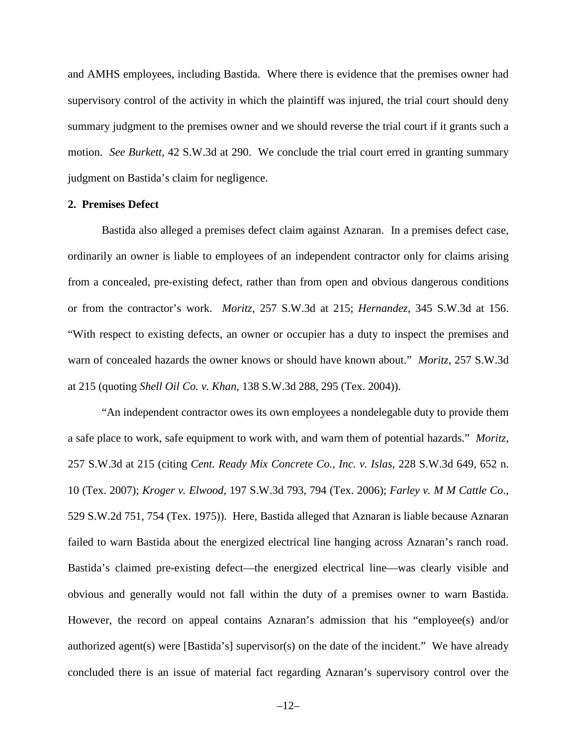and AMHS employees, including Bastida. Where there is evidence that the premises owner had supervisory control of the activity in which the plaintiff was injured, the trial court should deny summary judgment to the premises owner and we should reverse the trial court if it grants such a motion. *See Burkett*, 42 S.W.3d at 290. We conclude the trial court erred in granting summary judgment on Bastida's claim for negligence.

#### **2. Premises Defect**

Bastida also alleged a premises defect claim against Aznaran. In a premises defect case, ordinarily an owner is liable to employees of an independent contractor only for claims arising from a concealed, pre-existing defect, rather than from open and obvious dangerous conditions or from the contractor's work. *Moritz*, 257 S.W.3d at 215; *Hernandez*, 345 S.W.3d at 156. "With respect to existing defects, an owner or occupier has a duty to inspect the premises and warn of concealed hazards the owner knows or should have known about." *Moritz*, 257 S.W.3d at 215 (quoting *Shell Oil Co. v. Khan*, 138 S.W.3d 288, 295 (Tex. 2004)).

"An independent contractor owes its own employees a nondelegable duty to provide them a safe place to work, safe equipment to work with, and warn them of potential hazards." *Moritz*, 257 S.W.3d at 215 (citing *Cent. Ready Mix Concrete Co., Inc. v. Islas*, 228 S.W.3d 649, 652 n. 10 (Tex. 2007); *Kroger v. Elwood*, 197 S.W.3d 793, 794 (Tex. 2006); *Farley v. M M Cattle Co*., 529 S.W.2d 751, 754 (Tex. 1975)). Here, Bastida alleged that Aznaran is liable because Aznaran failed to warn Bastida about the energized electrical line hanging across Aznaran's ranch road. Bastida's claimed pre-existing defect—the energized electrical line—was clearly visible and obvious and generally would not fall within the duty of a premises owner to warn Bastida. However, the record on appeal contains Aznaran's admission that his "employee(s) and/or authorized agent(s) were [Bastida's] supervisor(s) on the date of the incident." We have already concluded there is an issue of material fact regarding Aznaran's supervisory control over the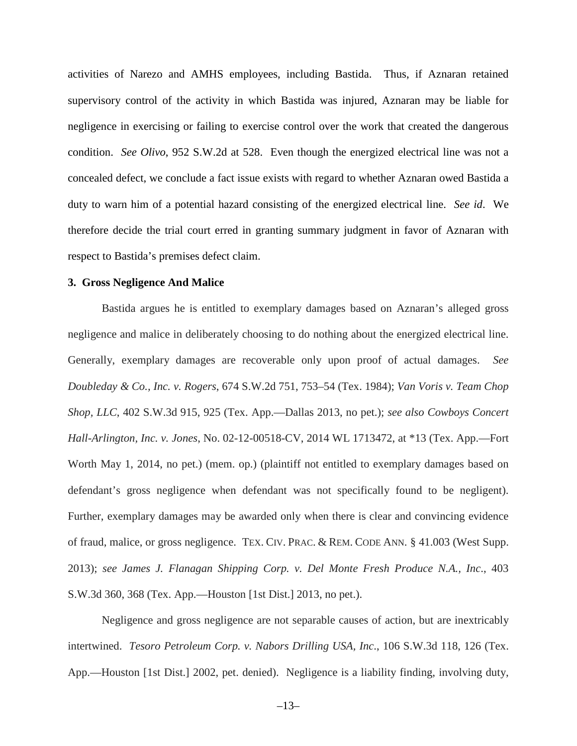activities of Narezo and AMHS employees, including Bastida. Thus, if Aznaran retained supervisory control of the activity in which Bastida was injured, Aznaran may be liable for negligence in exercising or failing to exercise control over the work that created the dangerous condition. *See Olivo*, 952 S.W.2d at 528. Even though the energized electrical line was not a concealed defect, we conclude a fact issue exists with regard to whether Aznaran owed Bastida a duty to warn him of a potential hazard consisting of the energized electrical line. *See id*. We therefore decide the trial court erred in granting summary judgment in favor of Aznaran with respect to Bastida's premises defect claim.

#### **3. Gross Negligence And Malice**

Bastida argues he is entitled to exemplary damages based on Aznaran's alleged gross negligence and malice in deliberately choosing to do nothing about the energized electrical line. Generally, exemplary damages are recoverable only upon proof of actual damages. *See Doubleday & Co., Inc. v. Rogers*, 674 S.W.2d 751, 753–54 (Tex. 1984); *Van Voris v. Team Chop Shop, LLC*, 402 S.W.3d 915, 925 (Tex. App.—Dallas 2013, no pet.); *see also Cowboys Concert Hall-Arlington, Inc. v. Jones*, No. 02-12-00518-CV, 2014 WL 1713472, at \*13 (Tex. App.—Fort Worth May 1, 2014, no pet.) (mem. op.) (plaintiff not entitled to exemplary damages based on defendant's gross negligence when defendant was not specifically found to be negligent). Further, exemplary damages may be awarded only when there is clear and convincing evidence of fraud, malice, or gross negligence. TEX. CIV. PRAC. & REM. CODE ANN. § 41.003 (West Supp. 2013); *see James J. Flanagan Shipping Corp. v. Del Monte Fresh Produce N.A., Inc*., 403 S.W.3d 360, 368 (Tex. App.—Houston [1st Dist.] 2013, no pet.).

Negligence and gross negligence are not separable causes of action, but are inextricably intertwined. *Tesoro Petroleum Corp. v. Nabors Drilling USA, Inc*., 106 S.W.3d 118, 126 (Tex. App.—Houston [1st Dist.] 2002, pet. denied). Negligence is a liability finding, involving duty,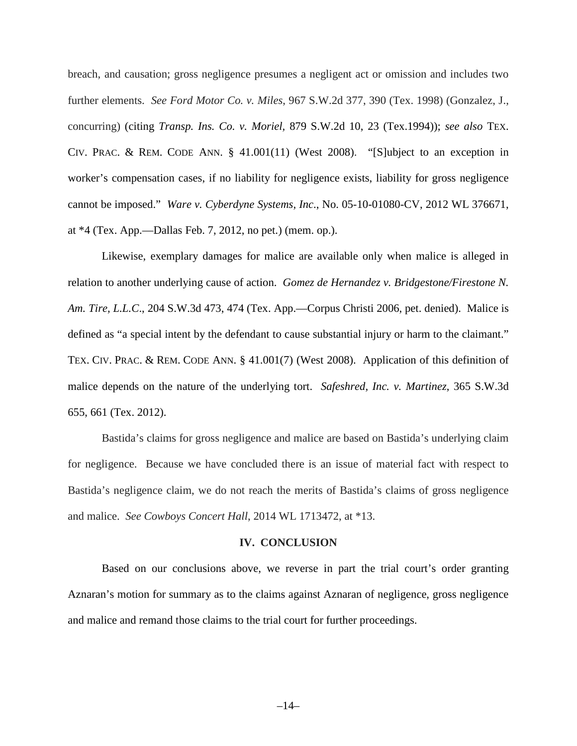breach, and causation; gross negligence presumes a negligent act or omission and includes two further elements. *See Ford Motor Co. v. Miles*, 967 S.W.2d 377, 390 (Tex. 1998) (Gonzalez, J., concurring) (citing *Transp. Ins. Co. v. Moriel,* [879 S.W.2d 10, 23 \(Tex.1994\)\)](https://a.next.westlaw.com/Link/Document/FullText?findType=Y&serNum=1994125602&pubNum=713&fi=co_pp_sp_713_23&originationContext=document&transitionType=DocumentItem&contextData=(sc.Search)#co_pp_sp_713_23); *see also* [TEX.](https://a.next.westlaw.com/Link/Document/FullText?findType=L&pubNum=1000170&cite=TXCPS41.001&originatingDoc=I44aa31dbfe0611e39488c8f438320c70&refType=LQ&originationContext=document&transitionType=DocumentItem&contextData=(sc.Search)) CIV. PRAC. & REM. CODE [ANN. § 41.001\(11\)](https://a.next.westlaw.com/Link/Document/FullText?findType=L&pubNum=1000170&cite=TXCPS41.001&originatingDoc=I44aa31dbfe0611e39488c8f438320c70&refType=LQ&originationContext=document&transitionType=DocumentItem&contextData=(sc.Search)) (West 2008). "[S]ubject to an exception in worker's compensation cases, if no liability for negligence exists, liability for gross negligence cannot be imposed." *Ware v. Cyberdyne Systems, Inc*., No. 05-10-01080-CV, 2012 WL 376671, at \*4 (Tex. App.—Dallas Feb. 7, 2012, no pet.) (mem. op.).

Likewise, exemplary damages for malice are available only when malice is alleged in relation to another underlying cause of action. *Gomez de Hernandez v. Bridgestone/Firestone N. Am. Tire, L.L.C*., 204 S.W.3d 473, 474 (Tex. App.—Corpus Christi 2006, pet. denied). Malice is defined as "a special intent by the defendant to cause substantial injury or harm to the claimant." TEX. CIV. PRAC. & REM. CODE [ANN. § 41.001\(7\)](https://a.next.westlaw.com/Link/Document/FullText?findType=L&pubNum=1000170&cite=TXCPS41.001&originatingDoc=I44aa31dbfe0611e39488c8f438320c70&refType=LQ&originationContext=document&transitionType=DocumentItem&contextData=(sc.Search)) (West 2008). Application of this definition of malice depends on the nature of the underlying tort. *Safeshred, Inc. v. Martinez*, 365 S.W.3d 655, 661 (Tex. 2012).

Bastida's claims for gross negligence and malice are based on Bastida's underlying claim for negligence. Because we have concluded there is an issue of material fact with respect to Bastida's negligence claim, we do not reach the merits of Bastida's claims of gross negligence and malice. *See Cowboys Concert Hall*, 2014 WL 1713472, at \*13.

#### **IV. CONCLUSION**

Based on our conclusions above, we reverse in part the trial court's order granting Aznaran's motion for summary as to the claims against Aznaran of negligence, gross negligence and malice and remand those claims to the trial court for further proceedings.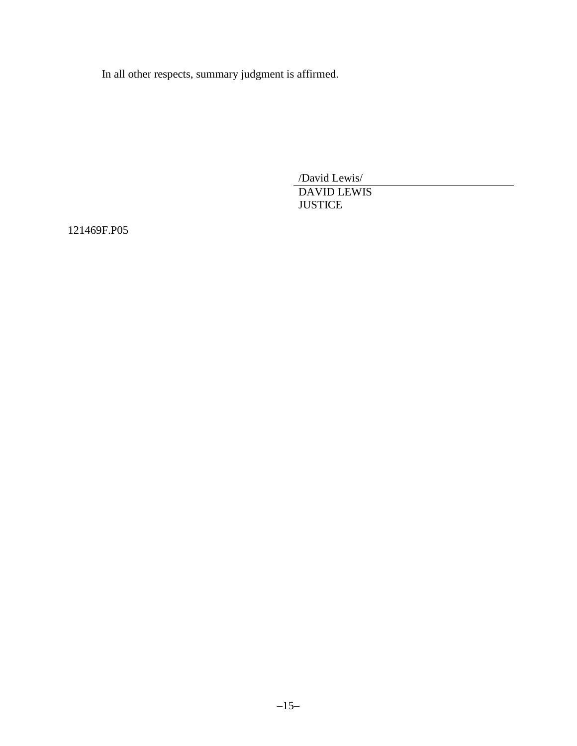In all other respects, summary judgment is affirmed.

/David Lewis/ DAVID LEWIS **JUSTICE** 

121469F.P05